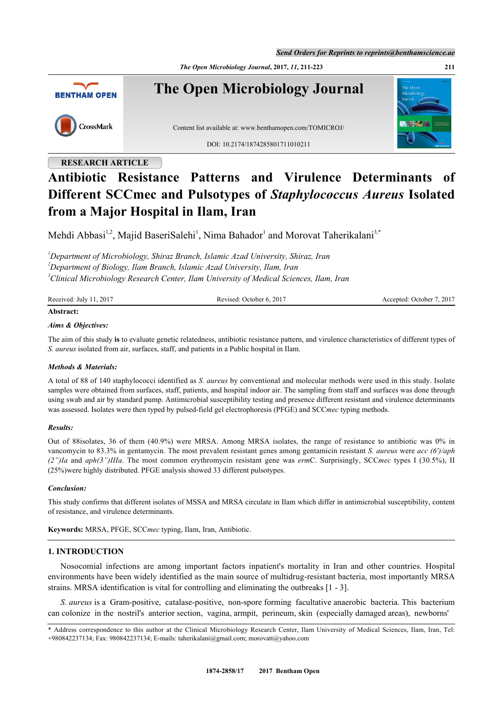*Send Orders for Reprints to reprints@benthamscience.ae*

*The Open Microbiology Journal***, 2017,** *11***, 211-223 211**



## **RESEARCH ARTICLE**

# **Antibiotic Resistance Patterns and Virulence Determinants of Different SCCmec and Pulsotypes of** *Staphylococcus Aureus* **Isolated from a Major Hospital in Ilam, Iran**

Mehdi Abbasi<sup>[1](#page-0-0),[2](#page-0-1)</sup>, Majid BaseriSalehi<sup>1</sup>, Nima Bahador<sup>1</sup> and Morovat Taherikalani<sup>[3](#page-0-2),[\\*](#page-0-3)</sup>

<span id="page-0-1"></span><span id="page-0-0"></span>*<sup>1</sup>Department of Microbiology, Shiraz Branch, Islamic Azad University, Shiraz, Iran <sup>2</sup>Department of Biology, Ilam Branch, Islamic Azad University, Ilam, Iran <sup>3</sup>Clinical Microbiology Research Center, Ilam University of Medical Sciences, Ilam, Iran*

<span id="page-0-2"></span>

| Received: July 11, 2017 | Revised: October 6, 2017 | Accepted: October 7, 2017 |
|-------------------------|--------------------------|---------------------------|
| Abstract:               |                          |                           |

#### *Aims & Objectives:*

The aim of this study **is** to evaluate genetic relatedness, antibiotic resistance pattern, and virulence characteristics of different types of *S. aureus* isolated from air, surfaces, staff, and patients in a Public hospital in Ilam.

#### *Methods & Materials:*

A total of 88 of 140 staphylococci identified as *S. aureus* by conventional and molecular methods were used in this study. Isolate samples were obtained from surfaces, staff, patients, and hospital indoor air. The sampling from staff and surfaces was done through using swab and air by standard pump. Antimicrobial susceptibility testing and presence different resistant and virulence determinants was assessed. Isolates were then typed by pulsed-field gel electrophoresis (PFGE) and SCC*mec* typing methods.

#### *Results:*

Out of 88isolates, 36 of them (40.9%) were MRSA. Among MRSA isolates, the range of resistance to antibiotic was 0% in vancomycin to 83.3% in gentamycin. The most prevalent resistant genes among gentamicin resistant *S. aureus* were *acc (6')/aph (2")Ia* and *aph(3")IIIa*. The most common erythromycin resistant gene was *erm*C. Surprisingly, SCC*mec* types I (30.5%), II (25%)were highly distributed. PFGE analysis showed 33 different pulsotypes.

#### *Conclusion:*

This study confirms that different isolates of MSSA and MRSA circulate in Ilam which differ in antimicrobial susceptibility, content of resistance, and virulence determinants.

**Keywords:** MRSA, PFGE, SCC*mec* typing, Ilam, Iran, Antibiotic.

## **1. INTRODUCTION**

Nosocomial infections are among important factors inpatient's mortality in Iran and other countries. Hospital environments have been widely identified as the main source of multidrug-resistant bacteria, most importantly MRSA strains. MRSA identification is vital for controlling and eliminating the outbreaks [[1](#page-9-0) - [3](#page-10-0)].

*S. aureus* is a Gram-positive, catalase-positive, non-spore forming facultative anaerobic bacteria. This bacterium can colonize in the nostril's anterior section, vagina, armpit, perineum, skin (especially damaged areas), newborns'

<span id="page-0-3"></span><sup>\*</sup> Address correspondence to this author at the Clinical Microbiology Research Center, Ilam University of Medical Sciences, Ilam, Iran, Tel: +980842237134; Fax: 980842237134; E-mails: [taherikalani@gmail.com](mailto:taherikalani@gmail.com); [morovatt@yahoo.com](mailto:morovatt@yahoo.com)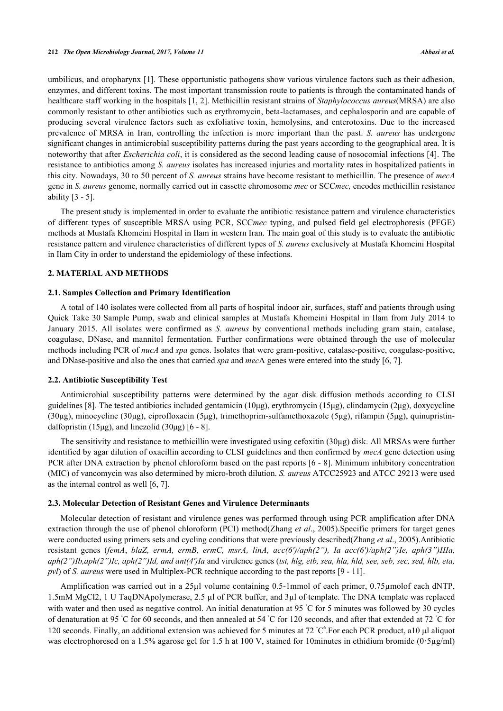umbilicus, and oropharynx [\[1\]](#page-9-0). These opportunistic pathogens show various virulence factors such as their adhesion, enzymes, and different toxins. The most important transmission route to patients is through the contaminated hands of healthcare staff working in the hospitals [[1,](#page-9-0) [2\]](#page-10-1). Methicillin resistant strains of *Staphylococcus aureus*(MRSA) are also commonly resistant to other antibiotics such as erythromycin, beta-lactamases, and cephalosporin and are capable of producing several virulence factors such as exfoliative toxin, hemolysins, and enterotoxins. Due to the increased prevalence of MRSA in Iran, controlling the infection is more important than the past. *S. aureus* has undergone significant changes in antimicrobial susceptibility patterns during the past years according to the geographical area. It is noteworthy that after *Escherichia coli*, it is considered as the second leading cause of nosocomial infections [[4\]](#page-10-2). The resistance to antibiotics among *S. aureus* isolates has increased injuries and mortality rates in hospitalized patients in this city. Nowadays, 30 to 50 percent of *S. aureus* strains have become resistant to methicillin. The presence of *mecA* gene in *S. aureus* genome, normally carried out in cassette chromosome *mec* or SCC*mec,* encodes methicillin resistance ability  $[3 - 5]$  $[3 - 5]$  $[3 - 5]$  $[3 - 5]$ .

The present study is implemented in order to evaluate the antibiotic resistance pattern and virulence characteristics of different types of susceptible MRSA using PCR, SCC*mec* typing, and pulsed field gel electrophoresis (PFGE) methods at Mustafa Khomeini Hospital in Ilam in western Iran. The main goal of this study is to evaluate the antibiotic resistance pattern and virulence characteristics of different types of *S. aureus* exclusively at Mustafa Khomeini Hospital in Ilam City in order to understand the epidemiology of these infections.

## **2. MATERIAL AND METHODS**

#### **2.1. Samples Collection and Primary Identification**

A total of 140 isolates were collected from all parts of hospital indoor air, surfaces, staff and patients through using Quick Take 30 Sample Pump, swab and clinical samples at Mustafa Khomeini Hospital in Ilam from July 2014 to January 2015. All isolates were confirmed as *S. aureus* by conventional methods including gram stain, catalase, coagulase, DNase, and mannitol fermentation. Further confirmations were obtained through the use of molecular methods including PCR of *nucA* and *spa* genes. Isolates that were gram-positive, catalase-positive, coagulase-positive, and DNase-positive and also the ones that carried *spa* and *mec*A genes were entered into the study [[6,](#page-10-4) [7\]](#page-10-5).

#### **2.2. Antibiotic Susceptibility Test**

Antimicrobial susceptibility patterns were determined by the agar disk diffusion methods according to CLSI guidelines [[8\]](#page-10-6). The tested antibiotics included gentamicin (10μg), erythromycin (15μg), clindamycin (2μg), doxycycline (30μg), minocycline (30μg), ciprofloxacin (5μg), trimethoprim-sulfamethoxazole (5μg), rifampin (5μg), quinupristin-dalfopristin (15μg), and linezolid (30μg) [[6](#page-10-4) - [8\]](#page-10-6).

The sensitivity and resistance to methicillin were investigated using cefoxitin (30µg) disk. All MRSAs were further identified by agar dilution of oxacillin according to CLSI guidelines and then confirmed by *mecA* gene detection using PCR after DNA extraction by phenol chloroform based on the past reports [[6](#page-10-4) - [8\]](#page-10-6). Minimum inhibitory concentration (MIC) of vancomycin was also determined by micro-broth dilution. *S. aureus* ATCC25923 and ATCC 29213 were used as the internal control as well [\[6](#page-10-4), [7](#page-10-5)].

#### **2.3. Molecular Detection of Resistant Genes and Virulence Determinants**

Molecular detection of resistant and virulence genes was performed through using PCR amplification after DNA extraction through the use of phenol chloroform (PCI) method(Zhang *et al*., 2005).Specific primers for target genes were conducted using primers sets and cycling conditions that were previously described(Zhang *et al*., 2005).Antibiotic resistant genes (*femA*, *blaZ, ermA, ermB, ermC, msrA, linA, acc(6')/aph(2"), Ia acc(6')/aph(2")Ie, aph(3")IIIa, aph(2")Ib,aph(2")Ic, aph(2")Id, and ant(4')Ia* and virulence genes (*tst, hlg, etb, sea, hla, hld, see, seb, sec, sed, hlb, eta, pvl*) of *S. aureus* were used in Multiplex-PCR technique according to the past reports [\[9](#page-10-7) - [11](#page-10-8)].

Amplification was carried out in a 25µl volume containing 0.5-1mmol of each primer, 0.75µmolof each dNTP, 1.5mM MgCl2, 1 U TaqDNApolymerase, 2.5 µl of PCR buffer, and 3µl of template. The DNA template was replaced with water and then used as negative control. An initial denaturation at 95 °C for 5 minutes was followed by 30 cycles of denaturation at 95 ◦C for 60 seconds, and then annealed at 54 ◦C for 120 seconds, and after that extended at 72 ◦C for 120 seconds. Finally, an additional extension was achieved for 5 minutes at 72 °C<sup>6</sup>. For each PCR product, a10 µl aliquot was electrophoresed on a 1.5% agarose gel for 1.5 h at 100 V, stained for 10minutes in ethidium bromide (0·5µg/ml)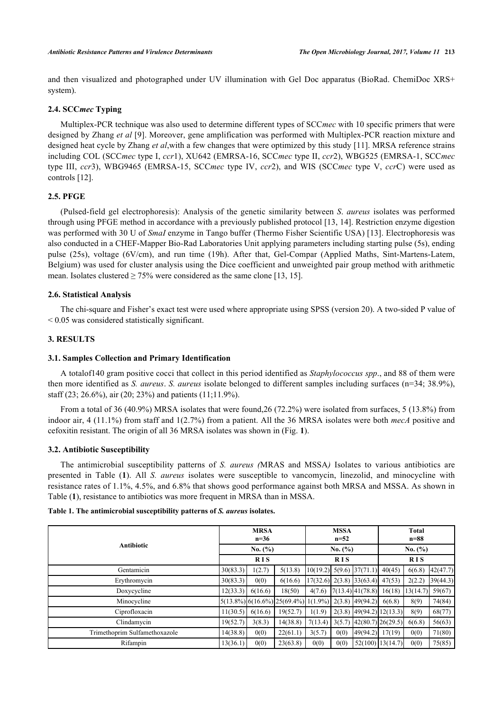and then visualized and photographed under UV illumination with Gel Doc apparatus (BioRad. ChemiDoc XRS+ system).

## **2.4. SCC***mec* **Typing**

Multiplex-PCR technique was also used to determine different types of SCC*mec* with 10 specific primers that were designed by Zhang *et al* [[9\]](#page-10-7). Moreover, gene amplification was performed with Multiplex-PCR reaction mixture and designed heat cycle by Zhang *et al*,with a few changes that were optimized by this study [[11](#page-10-8)]. MRSA reference strains including COL (SCC*mec* type I, *ccr*1), XU642 (EMRSA-16, SCC*mec* type II, *ccr*2), WBG525 (EMRSA-1, SCC*mec* type III, *ccr*3), WBG9465 (EMRSA-15, SCC*mec* type IV, *ccr*2), and WIS (SCC*mec* type V, *ccr*C) were used as controls [[12\]](#page-10-9).

### **2.5. PFGE**

(Pulsed-field gel electrophoresis): Analysis of the genetic similarity between *S*. *aureus* isolates was performed through using PFGE method in accordance with a previously published protocol [\[13](#page-10-10), [14\]](#page-10-11). Restriction enzyme digestion was performed with 30 U of *Smal* enzyme in Tango buffer (Thermo Fisher Scientific USA) [[13](#page-10-10)]. Electrophoresis was also conducted in a CHEF-Mapper Bio-Rad Laboratories Unit applying parameters including starting pulse (5s), ending pulse (25s), voltage (6V/cm), and run time (19h). After that, Gel-Compar (Applied Maths, Sint-Martens-Latem, Belgium) was used for cluster analysis using the Dice coefficient and unweighted pair group method with arithmetic mean. Isolates clustered  $\geq$  75% were considered as the same clone [[13,](#page-10-10) [15\]](#page-10-12).

#### **2.6. Statistical Analysis**

The chi-square and Fisher's exact test were used where appropriate using SPSS (version 20). A two-sided P value of < 0.05 was considered statistically significant.

## **3. RESULTS**

#### **3.1. Samples Collection and Primary Identification**

A totalof140 gram positive cocci that collect in this period identified as *Staphylococcus spp*., and 88 of them were then more identified as *S. aureus*. *S. aureus* isolate belonged to different samples including surfaces (n=34; 38.9%), staff (23; 26.6%), air (20; 23%) and patients (11;11.9%).

From a total of 36 (40.9%) MRSA isolates that were found,26 (72.2%) were isolated from surfaces, 5 (13.8%) from indoor air, 4 (11.1%) from staff and 1(2.7%) from a patient. All the 36 MRSA isolates were both *mecA* positive and cefoxitin resistant. The origin of all 36 MRSA isolates was shown in (Fig. **[1](#page-4-0)**).

#### **3.2. Antibiotic Susceptibility**

The antimicrobial susceptibility patterns of *S. aureus (*MRAS and MSSA*)* Isolates to various antibiotics are presented in Table (**[1](#page-2-0)**). All *S. aureus* isolates were susceptible to vancomycin, linezolid, and minocycline with resistance rates of 1.1%, 4.5%, and 6.8% that shows good performance against both MRSA and MSSA. As shown in Table (**[1](#page-2-0)**), resistance to antibiotics was more frequent in MRSA than in MSSA.

<span id="page-2-0"></span>

| Table 1. The antimicrobial susceptibility patterns of S. aureus isolates. |  |  |  |
|---------------------------------------------------------------------------|--|--|--|
|---------------------------------------------------------------------------|--|--|--|

|                               |          | <b>MRSA</b><br>$n=36$ |                                                             |             | <b>MSSA</b><br>$n = 52$ |                                |                                | <b>Total</b><br>$n=88$ |          |  |
|-------------------------------|----------|-----------------------|-------------------------------------------------------------|-------------|-------------------------|--------------------------------|--------------------------------|------------------------|----------|--|
| <b>Antibiotic</b>             |          | No. (%)               |                                                             | No. $(\% )$ |                         |                                | No. (%)                        |                        |          |  |
|                               |          | <b>RIS</b>            |                                                             |             | <b>RIS</b>              |                                |                                | <b>RIS</b>             |          |  |
| Gentamicin                    | 30(83.3) | 1(2.7)                | 5(13.8)                                                     |             |                         | $10(19.2)$ 5(9.6) 37(71.1)     | 40(45)                         | 6(6.8)                 | 42(47.7) |  |
| Erythromycin                  | 30(83.3) | 0(0)                  | 6(16.6)                                                     |             |                         | $17(32.6)$ $2(3.8)$ $33(63.4)$ | 47(53)                         | 2(2.2)                 | 39(44.3) |  |
| Doxycycline                   | 12(33.3) | 6(16.6)               | 18(50)                                                      | 4(7.6)      |                         | [7(13.4) 41(78.8)]             | 16(18)                         | 13(14.7)               | 59(67)   |  |
| Minocycline                   |          |                       | $[5(13.8\%)[6(16.6\%)]25(69.4\%)[1(1.9\%)]2(3.8)[49(94.2)]$ |             |                         |                                | 6(6.8)                         | 8(9)                   | 74(84)   |  |
| Ciprofloxacin                 | 11(30.5) | 6(16.6)               | 19(52.7)                                                    | 1(1.9)      |                         |                                | $2(3.8)$ [49(94.2)] 12(13.3)]  | 8(9)                   | 68(77)   |  |
| Clindamycin                   | 19(52.7) | 3(8.3)                | 14(38.8)                                                    | 7(13.4)     |                         |                                | $3(5.7)$ $ 42(80.7) 26(29.5) $ | 6(6.8)                 | 56(63)   |  |
| Trimethoprim Sulfamethoxazole | 14(38.8) | 0(0)                  | 22(61.1)                                                    | 3(5.7)      | 0(0)                    | 49(94.2)                       | 17(19)                         | 0(0)                   | 71(80)   |  |
| Rifampin                      | 13(36.1) | 0(0)                  | 23(63.8)                                                    | 0(0)        | 0(0)                    |                                | $52(100)$   13(14.7)           | 0(0)                   | 75(85)   |  |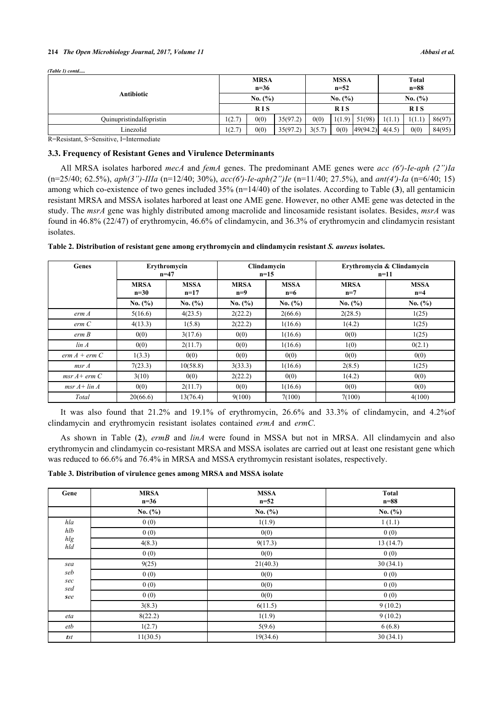#### **214** *The Open Microbiology Journal, 2017, Volume 11 Abbasi et al.*

| (Table 1) contd          |                       |            |          |                         |            |          |                 |            |        |  |
|--------------------------|-----------------------|------------|----------|-------------------------|------------|----------|-----------------|------------|--------|--|
|                          | <b>MRSA</b><br>$n=36$ |            |          | <b>MSSA</b><br>$n = 52$ |            |          | Total<br>$n=88$ |            |        |  |
| Antibiotic               |                       | No. (%)    |          |                         | No. (%)    |          |                 | No. (%)    |        |  |
|                          |                       | <b>RIS</b> |          |                         | <b>RIS</b> |          |                 | <b>RIS</b> |        |  |
| Ouinupristindalfopristin | 1(2.7)                | 0(0)       | 35(97.2) | 0(0)                    | 1(1.9)     | 51(98)   | 1(1.1)          | 1(1.1)     | 86(97) |  |
| Linezolid                | 1(2.7)                | 0(0)       | 35(97.2) | 3(5.7)                  | 0(0)       | 49(94.2) | 4(4.5)          | 0(0)       | 84(95) |  |

R=Resistant, S=Sensitive, I=Intermediate

#### **3.3. Frequency of Resistant Genes and Virulence Determinants**

All MRSA isolates harbored *mecA* and *femA* genes. The predominant AME genes were *acc (6')-Ie-aph (2")Ia* (n=25/40; 62.5%), *aph(3")-IIIa* (n=12/40; 30%), *acc(6')-Ie-aph(2")Ie* (n=11/40; 27.5%), and *ant(4')-Ia* (n=6/40; 15) among which co-existence of two genes included 35% (n=14/40) of the isolates. According to Table (**[3](#page-3-0)**), all gentamicin resistant MRSA and MSSA isolates harbored at least one AME gene. However, no other AME gene was detected in the study. The *msrA* gene was highly distributed among macrolide and lincosamide resistant isolates. Besides, *msrA* was found in 46.8% (22/47) of erythromycin, 46.6% of clindamycin, and 36.3% of erythromycin and clindamycin resistant isolates.

| Genes           | Erythromycin<br>$n = 47$<br><b>MSSA</b><br><b>MRSA</b><br>$n=30$<br>$n=17$ |          |                      | Clindamycin<br>$n=15$ | Erythromycin & Clindamycin<br>$n=11$ |                      |  |  |
|-----------------|----------------------------------------------------------------------------|----------|----------------------|-----------------------|--------------------------------------|----------------------|--|--|
|                 |                                                                            |          | <b>MRSA</b><br>$n=9$ | <b>MSSA</b><br>$n=6$  | <b>MRSA</b><br>$n=7$                 | <b>MSSA</b><br>$n=4$ |  |  |
|                 | No. (%)                                                                    | No. (%)  | No. $(\% )$          | No. (%)               | No. (%)                              | No. (%)              |  |  |
| $erm\ A$        | 5(16.6)                                                                    | 4(23.5)  | 2(22.2)              | 2(66.6)               | 2(28.5)                              | 1(25)                |  |  |
| erm C           | 4(13.3)                                                                    | 1(5.8)   | 2(22.2)              | 1(16.6)               | 1(4.2)                               | 1(25)                |  |  |
| erm B           | 0(0)                                                                       | 3(17.6)  | 0(0)                 | 1(16.6)               | 0(0)                                 | 1(25)                |  |  |
| $\ln A$         | 0(0)                                                                       | 2(11.7)  | 0(0)                 | 1(16.6)               | 1(0)                                 | 0(2.1)               |  |  |
| $erm A + erm C$ | 1(3.3)                                                                     | 0(0)     | 0(0)                 | 0(0)                  | 0(0)                                 | 0(0)                 |  |  |
| $msr\,A$        | 7(23.3)                                                                    | 10(58.8) | 3(33.3)              | 1(16.6)               | 2(8.5)                               | 1(25)                |  |  |
| $msr A+erm C$   | 3(10)                                                                      | 0(0)     | 2(22.2)              | 0(0)                  | 1(4.2)                               | 0(0)                 |  |  |
| $msr A + lin A$ | 0(0)                                                                       | 2(11.7)  | 0(0)                 | 1(16.6)               | 0(0)                                 | 0(0)                 |  |  |
| Total           | 20(66.6)                                                                   | 13(76.4) | 9(100)               | 7(100)                | 7(100)                               | 4(100)               |  |  |

<span id="page-3-1"></span>**Table 2. Distribution of resistant gene among erythromycin and clindamycin resistant** *S. aureus* **isolates.**

It was also found that 21.2% and 19.1% of erythromycin, 26.6% and 33.3% of clindamycin, and 4.2%of clindamycin and erythromycin resistant isolates contained *ermA* and *ermC*.

As shown in Table (**[2](#page-3-1)**), *ermB* and *linA* were found in MSSA but not in MRSA. All clindamycin and also erythromycin and clindamycin co-resistant MRSA and MSSA isolates are carried out at least one resistant gene which was reduced to 66.6% and 76.4% in MRSA and MSSA erythromycin resistant isolates, respectively.

<span id="page-3-0"></span>**Table 3. Distribution of virulence genes among MRSA and MSSA isolate**

| Gene           | <b>MRSA</b><br>$n=36$ | <b>MSSA</b><br>$n=52$ | <b>Total</b><br>$n=88$ |
|----------------|-----------------------|-----------------------|------------------------|
|                | No. $(\% )$           | No. $(\%)$            | No. $(\% )$            |
| hla            | 0(0)                  | 1(1.9)                | 1(1.1)                 |
| hlb            | 0(0)                  | 0(0)                  | 0(0)                   |
| $hlg$<br>$hld$ | 4(8.3)                | 9(17.3)               | 13(14.7)               |
|                | 0(0)                  | 0(0)                  | 0(0)                   |
| sea            | 9(25)                 | 21(40.3)              | 30(34.1)               |
| seb            | 0(0)                  | 0(0)                  | 0(0)                   |
| sec<br>sed     | 0(0)                  | 0(0)                  | 0(0)                   |
| see            | 0(0)                  | 0(0)                  | 0(0)                   |
|                | 3(8.3)                | 6(11.5)               | 9(10.2)                |
| eta            | 8(22.2)               | 1(1.9)                | 9(10.2)                |
| etb            | 1(2.7)                | 5(9.6)                | 6(6.8)                 |
| tst            | 11(30.5)              | 19(34.6)              | 30(34.1)               |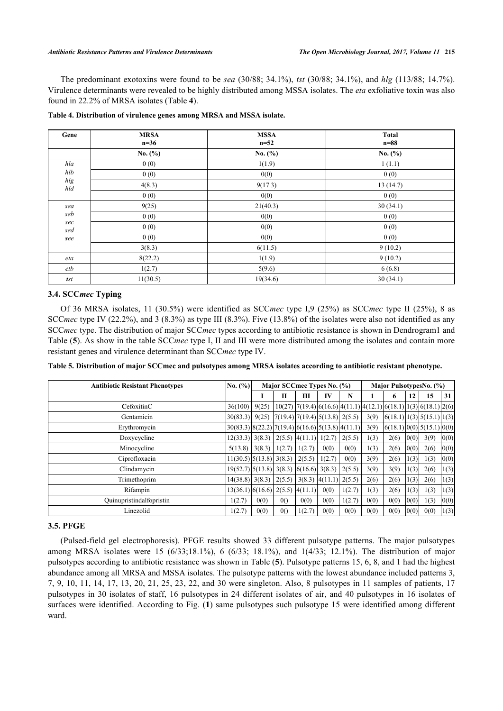The predominant exotoxins were found to be *sea* (30/88; 34.1%), *tst* (30/88; 34.1%), and *hlg* (113/88; 14.7%). Virulence determinants were revealed to be highly distributed among MSSA isolates. The *eta* exfoliative toxin was also found in 22.2% of MRSA isolates (Table **[4](#page-4-1)**).

| Gene       | <b>MRSA</b><br>$n=36$ | <b>MSSA</b><br>$n=52$ | <b>Total</b><br>$n=88$ |
|------------|-----------------------|-----------------------|------------------------|
|            | No. $(\%)$            | No. $(\% )$           | No. $(\% )$            |
| hla        | 0(0)                  | 1(1.9)                | 1(1.1)                 |
| hlb        | 0(0)                  | 0(0)                  | 0(0)                   |
| hlg<br>hld | 4(8.3)                | 9(17.3)               | 13(14.7)               |
|            | 0(0)                  | 0(0)                  | 0(0)                   |
| sea        | 9(25)                 | 21(40.3)              | 30(34.1)               |
| seb        | 0(0)                  | 0(0)                  | 0(0)                   |
| sec<br>sed | 0(0)                  | 0(0)                  | 0(0)                   |
| see        | 0(0)                  | 0(0)                  | 0(0)                   |
|            | 3(8.3)                | 6(11.5)               | 9(10.2)                |
| eta        | 8(22.2)               | 1(1.9)                | 9(10.2)                |
| etb        | 1(2.7)                | 5(9.6)                | 6(6.8)                 |
| tst        | 11(30.5)              | 19(34.6)              | 30(34.1)               |

<span id="page-4-1"></span>**Table 4. Distribution of virulence genes among MRSA and MSSA isolate.**

## **3.4. SCC***mec* **Typing**

Of 36 MRSA isolates, 11 (30.5%) were identified as SCC*mec* type I,9 (25%) as SCC*mec* type II (25%), 8 as SCC*mec* type IV (22.2%), and 3 (8.3%) as type III (8.3%). Five (13.8%) of the isolates were also not identified as any SCC*mec* type. The distribution of major SCC*mec* types according to antibiotic resistance is shown in Dendrogram1 and Table (**[5](#page-4-2)**). As show in the table SCC*mec* type I, II and III were more distributed among the isolates and contain more resistant genes and virulence determinant than SCC*mec* type IV.

<span id="page-4-2"></span>**Table 5. Distribution of major SCCmec and pulsotypes among MRSA isolates according to antibiotic resistant phenotype.**

| <b>Antibiotic Resistant Phenotypes</b> | No. (%)                                         |       | Major SCCmec Types No. (%) |                                        |                  |        |      | Major PulsotypesNo. (%) |      |                                                                     |      |
|----------------------------------------|-------------------------------------------------|-------|----------------------------|----------------------------------------|------------------|--------|------|-------------------------|------|---------------------------------------------------------------------|------|
|                                        |                                                 |       | П                          | Ш                                      | IV               | N      |      | 6                       | 12   | 15                                                                  | 31   |
| CefoxitinC                             | 36(100)                                         | 9(25) |                            |                                        |                  |        |      |                         |      | $10(27)$  7(19.4) 6(16.6) 4(11.1) 4(12.1) 6(18.1) 1(3) 6(18.1) 2(6) |      |
| Gentamicin                             | $ 30(83.3) $ 9(25)                              |       |                            | $7(19.4)$ $7(19.4)$ $5(13.8)$ $2(5.5)$ |                  |        | 3(9) |                         |      | (6(18.1)   1(3)   5(15.1)   1(3)                                    |      |
| Erythromycin                           | $30(83.3)8(22.2)7(19.4)[6(16.6)5(13.8)]4(11.1)$ |       |                            |                                        |                  |        | 3(9) |                         |      | 6(18.1)  0(0)  5(15.1)  0(0)                                        |      |
| Doxycycline                            | $12(33.3)$ $3(8.3)$ $2(5.5)$ $4(11.1)$ $1(2.7)$ |       |                            |                                        |                  | 2(5.5) | 1(3) | 2(6)                    | 0(0) | 3(9)                                                                | 0(0) |
| Minocycline                            | $5(13.8)$ 3(8.3) 1(2.7)                         |       |                            | 1(2.7)                                 | 0(0)             | 0(0)   | 1(3) | 2(6)                    | 0(0) | 2(6)                                                                | 0(0) |
| Ciprofloxacin                          | $11(30.5)$ 5(13.8) 3(8.3)                       |       |                            | 2(5.5)                                 | 1(2.7)           | 0(0)   | 3(9) | 2(6)                    | 1(3) | 1(3)                                                                | 0(0) |
| Clindamycin                            | $19(52.7)$ $5(13.8)$ 3(8.3)                     |       |                            | $6(16.6)$ 3(8.3)                       |                  | 2(5.5) | 3(9) | 3(9)                    | 1(3) | 2(6)                                                                | 1(3) |
| Trimethoprim                           | $14(38.8)$ 3(8.3)                               |       | 2(5.5)                     |                                        | $3(8.3)$ 4(11.1) | 2(5.5) | 2(6) | 2(6)                    | 1(3) | 2(6)                                                                | 1(3) |
| Rifampin                               | $13(36.1)$ [6(16.6)] 2(5.5) [4(11.1)]           |       |                            |                                        | 0(0)             | 1(2.7) | 1(3) | 2(6)                    | 1(3) | 1(3)                                                                | 1(3) |
| Quinupristindalfopristin               | 1(2.7)                                          | 0(0)  | 0()                        | 0(0)                                   | 0(0)             | 1(2.7) | 0(0) | 0(0)                    | 0(0) | 1(3)                                                                | 0(0) |
| Linezolid                              | 1(2.7)                                          | 0(0)  | 0()                        | 1(2.7)                                 | 0(0)             | 0(0)   | 0(0) | 0(0)                    | 0(0) | 0(0)                                                                | 1(3) |

#### **3.5. PFGE**

<span id="page-4-0"></span>(Pulsed-field gel electrophoresis). PFGE results showed 33 different pulsotype patterns. The major pulsotypes among MRSA isolates were 15 (6/33;18.1%), 6 (6/33; 18.1%), and 1(4/33; 12.1%). The distribution of major pulsotypes according to antibiotic resistance was shown in Table (**[5](#page-4-2)**). Pulsotype patterns 15, 6, 8, and 1 had the highest abundance among all MRSA and MSSA isolates. The pulsotype patterns with the lowest abundance included patterns 3, 7, 9, 10, 11, 14, 17, 13, 20, 21, 25, 23, 22, and 30 were singleton. Also, 8 pulsotypes in 11 samples of patients, 17 pulsotypes in 30 isolates of staff, 16 pulsotypes in 24 different isolates of air, and 40 pulsotypes in 16 isolates of surfaces were identified. According to Fig. (**[1](#page-4-0)**) same pulsotypes such pulsotype 15 were identified among different ward.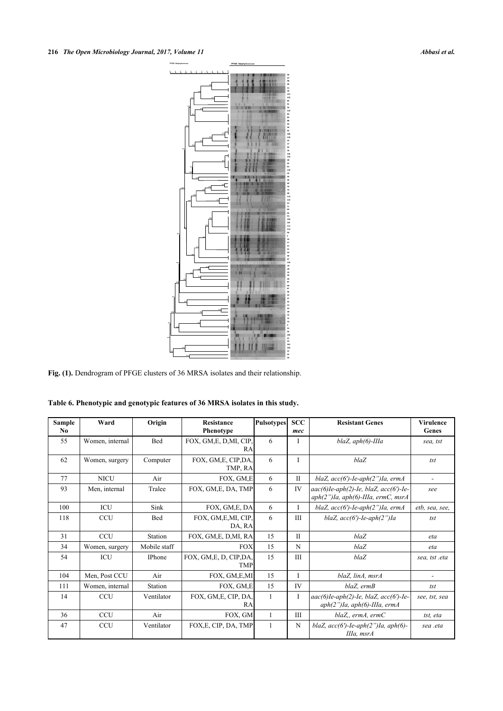

**Fig. (1).** Dendrogram of PFGE clusters of 36 MRSA isolates and their relationship.

|  |  | Table 6. Phenotypic and genotypic features of 36 MRSA isolates in this study. |
|--|--|-------------------------------------------------------------------------------|
|  |  |                                                                               |

| Sample<br>No. | Ward            | Origin       | <b>Resistance</b><br><b>Phenotype</b> | <b>Pulsotypes</b> | <b>SCC</b><br>mec | <b>Resistant Genes</b>                                                                | <b>Virulence</b><br>Genes |
|---------------|-----------------|--------------|---------------------------------------|-------------------|-------------------|---------------------------------------------------------------------------------------|---------------------------|
| 55            | Women, internal | Bed          | FOX, GM, E, D, MI, CIP,<br>RA         | 6                 |                   | $blaZ, aph(6)$ -IIIa                                                                  | sea, tst                  |
| 62            | Women, surgery  | Computer     | FOX, GM, E, CIP, DA,<br>TMP, RA       | 6                 | I                 | blaZ                                                                                  | tst                       |
| 77            | <b>NICU</b>     | Air          | FOX, GM, E                            | 6                 | $\mathbf{I}$      | blaZ, acc(6')-Ie-aph(2")Ia, ermA                                                      | $\overline{a}$            |
| 93            | Men, internal   | Tralee       | FOX, GM, E, DA, TMP                   | 6                 | IV                | $aac(6)Ie-aph(2)-Ie, blaZ, acc(6')-Ie-$<br>$aph(2")$ Ia, $aph(6)$ -IIIa, ermC, msrA   | see                       |
| 100           | <b>ICU</b>      | Sink         | FOX, GM, E, DA                        | 6                 | L                 | $blaZ, acc(6')$ -le-aph $(2'')Ia$ , ermA                                              | etb. sea. see.            |
| 118           | <b>CCU</b>      | Bed          | FOX, GM, E, MI, CIP,<br>DA, RA        | 6                 | III               | $blaZ, acc(6')$ -le-aph $(2'')Ia$                                                     | tst                       |
| 31            | <b>CCU</b>      | Station      | FOX, GM, E, D, MI, RA                 | 15                | $_{\rm II}$       | blaZ                                                                                  | eta                       |
| 34            | Women, surgery  | Mobile staff | <b>FOX</b>                            | 15                | N                 | blaZ                                                                                  | eta                       |
| 54            | ICU             | IPhone       | FOX, GM, E, D, CIP, DA,<br><b>TMP</b> | 15                | Ш                 | blaZ                                                                                  | sea, tst.eta              |
| 104           | Men, Post CCU   | Air          | FOX, GM, E, MI                        | 15                | I                 | blaZ, linA, msrA                                                                      | $\tilde{\phantom{a}}$     |
| 111           | Women, internal | Station      | FOX, GM, E                            | 15                | IV                | blaZ, ermB                                                                            | tst                       |
| 14            | <b>CCU</b>      | Ventilator   | FOX, GM, E, CIP, DA,<br><b>RA</b>     | 1                 | $\mathbf{I}$      | $aac(6)$ Ie-aph $(2)$ -Ie, blaZ, $acc(6')$ -Ie-<br>$aph(2")$ Ia, $aph(6)$ -IIIa, ermA | see, tst, sea             |
| 36            | <b>CCU</b>      | Air          | FOX, GM                               | 1                 | Ш                 | $blaZ$ ., erm $A$ , erm $C$                                                           | tst, eta                  |
| 47            | <b>CCU</b>      | Ventilator   | FOX, E, CIP, DA, TMP                  |                   | N                 | blaZ, $acc(6')$ -le-aph $(2'')$ la, aph $(6)$ -<br>IIIa. msrA                         | sea .eta                  |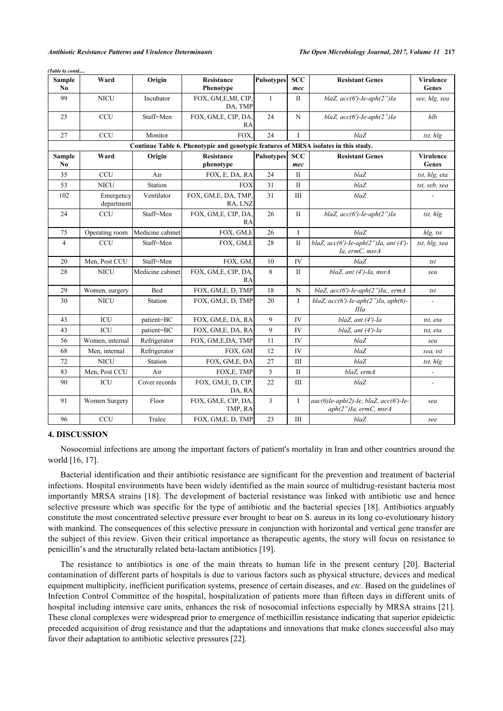| Sample<br>N <sub>0</sub> | Ward                    | Origin           | <b>Resistance</b><br>Phenotype                                                      | <b>Pulsotypes</b> | <b>SCC</b><br>mec  | <b>Resistant Genes</b>                                               | <b>Virulence</b><br>Genes |
|--------------------------|-------------------------|------------------|-------------------------------------------------------------------------------------|-------------------|--------------------|----------------------------------------------------------------------|---------------------------|
| 99                       | <b>NICU</b>             | Incubator        | FOX, GM, E, MI, CIP,<br>DA, TMP                                                     | $\mathbf{1}$      | $\mathbf{I}$       | $blaZ, acc(6')$ -le-aph $(2'')Ia$                                    | see, hlg, sea             |
| 25                       | <b>CCU</b>              | Staff=Men        | FOX, GM, E, CIP, DA,<br>RA                                                          | 24                | ${\bf N}$          | $blaZ, acc(6')$ -le-aph $(2'')Ia$                                    | hlb                       |
| 27                       | <b>CCU</b>              | Monitor          | FOX,                                                                                | 24                | I                  | blaZ                                                                 | tst, hlg                  |
|                          |                         |                  | Continue Table 6. Phenotypic and genotypic features of MRSA isolates in this study. |                   |                    |                                                                      |                           |
| <b>Sample</b><br>N0      | Ward                    | Origin           | <b>Resistance</b><br>phenotype                                                      | <b>Pulsotypes</b> | <b>SCC</b><br>mec  | <b>Resistant Genes</b>                                               | <b>Virulence</b><br>Genes |
| 35                       | <b>CCU</b>              | Air              | FOX, E, DA, RA                                                                      | 24                | $\mathbf{I}$       | blaZ                                                                 | tst, hlg, eta             |
| 53                       | <b>NICU</b>             | Station          | <b>FOX</b>                                                                          | 31                | $\mathbf{I}$       | blaZ                                                                 | tst, seb, sea             |
| 102                      | Emergency<br>department | Ventilator       | FOX, GM, E, DA, TMP,<br>RA, LNZ                                                     | 31                | Ш                  | blaZ                                                                 |                           |
| 24                       | CCU                     | Staff=Men        | FOX, GM, E, CIP, DA,<br>RA                                                          | 26                | $\mathbf{I}$       | $blaZ, acc(6')$ -le-aph $(2'')Ia$                                    | tst, hlg                  |
| 75                       | Operating room          | Medicine cabinet | FOX, GM,E                                                                           | 26                | $\mathbf I$        | blaZ                                                                 | hlg, tst                  |
| $\overline{4}$           | <b>CCU</b>              | Staff=Men        | FOX, GM, E                                                                          | 28                | $\mathbf{I}$       | blaZ, $acc(6')$ -le-aph $(2'')$ la, ant $(4')$ -<br>Ia, ermC, msrA   | tst, hlg, sea             |
| 20                       | Men, Post CCU           | Staff=Men        | FOX, GM,                                                                            | 10                | ${\rm IV}$         | blaZ                                                                 | tst                       |
| 28                       | <b>NICU</b>             | Medicine cabinet | FOX, GM, E, CIP, DA,<br>RA                                                          | 8                 | $\mathbf{I}$       | $blaZ, ant (4')$ -Ia, msr $A$                                        | sea                       |
| 29                       | Women, surgery          | Bed              | FOX, GM, E, D, TMP                                                                  | 18                | ${\bf N}$          | blaZ, $acc(6')$ -le-aph $(2'')$ la,, ermA                            | tst                       |
| 30                       | <b>NICU</b>             | Station          | FOX, GM, E, D, TMP                                                                  | 20                | Ι                  | blaZ, $acc(6')$ -le-aph $(2'')$ la, aph $(6)$ -<br><b>IIIa</b>       |                           |
| 43                       | ICU                     | patient=BC       | FOX, GM, E, DA, RA                                                                  | 9                 | IV                 | $blaZ, ant (4')$ -Ia                                                 | tst, eta                  |
| 43                       | <b>ICU</b>              | patient=BC       | FOX, GM, E, DA, RA                                                                  | 9                 | IV                 | $blaZ, ant (4')$ -Ia                                                 | tst, eta                  |
| 56                       | Women, internal         | Refrigerator     | FOX, GM, E, DA, TMP                                                                 | 11                | IV                 | blaZ                                                                 | sea                       |
| 68                       | Men, internal           | Refrigerator     | FOX, GM                                                                             | 12                | IV                 | blaZ                                                                 | sea, tst                  |
| 72                       | <b>NICU</b>             | Station          | FOX, GM, E, DA                                                                      | 27                | $\mathop{\rm III}$ | blaZ                                                                 | tst, hlg                  |
| 83                       | Men, Post CCU           | Air              | FOX, E, TMP                                                                         | 5                 | $\mathbf{I}$       | blaZ, ermA                                                           | $\overline{\phantom{a}}$  |
| 90                       | ICU                     | Cover records    | FOX, GM, E, D, CIP,<br>DA, RA                                                       | 22                | Ш                  | blaZ                                                                 |                           |
| 91                       | Women Surgery           | Floor            | FOX, GM, E, CIP, DA,<br>TMP, RA                                                     | 3                 | $\bf{I}$           | $aac(6)$ Ie-aph(2)-Ie, blaZ, $acc(6')$ -Ie-<br>aph(2")Ia, ermC, msrA | sea                       |
| 96                       | CCU                     | Tralee           | FOX, GM, E, D, TMP                                                                  | 23                | Ш                  | blaZ                                                                 | see                       |

#### *(Table 6) contd.....*

## **4. DISCUSSION**

Nosocomial infections are among the important factors of patient's mortality in Iran and other countries around the world [[16,](#page-10-13) [17\]](#page-10-14).

Bacterial identification and their antibiotic resistance are significant for the prevention and treatment of bacterial infections. Hospital environments have been widely identified as the main source of multidrug-resistant bacteria most importantly MRSA strains [[18\]](#page-10-15). The development of bacterial resistance was linked with antibiotic use and hence selective pressure which was specific for the type of antibiotic and the bacterial species [[18](#page-10-15)]. Antibiotics arguably constitute the most concentrated selective pressure ever brought to bear on S. aureus in its long co-evolutionary history with mankind. The consequences of this selective pressure in conjunction with horizontal and vertical gene transfer are the subject of this review. Given their critical importance as therapeutic agents, the story will focus on resistance to penicillin's and the structurally related beta-lactam antibiotics [\[19](#page-10-16)].

The resistance to antibiotics is one of the main threats to human life in the present century[[20](#page-10-17)]. Bacterial contamination of different parts of hospitals is due to various factors such as physical structure, devices and medical equipment multiplicity, inefficient purification systems, presence of certain diseases, and *etc*. Based on the guidelines of Infection Control Committee of the hospital, hospitalization of patients more than fifteen days in different units of hospital including intensive care units, enhances the risk of nosocomial infections especially by MRSA strains [\[21\]](#page-10-18). These clonal complexes were widespread prior to emergence of methicillin resistance indicating that superior epideictic preceded acquisition of drug resistance and that the adaptations and innovations that make clones successful also may favor their adaptation to antibiotic selective pressures [\[22](#page-11-0)].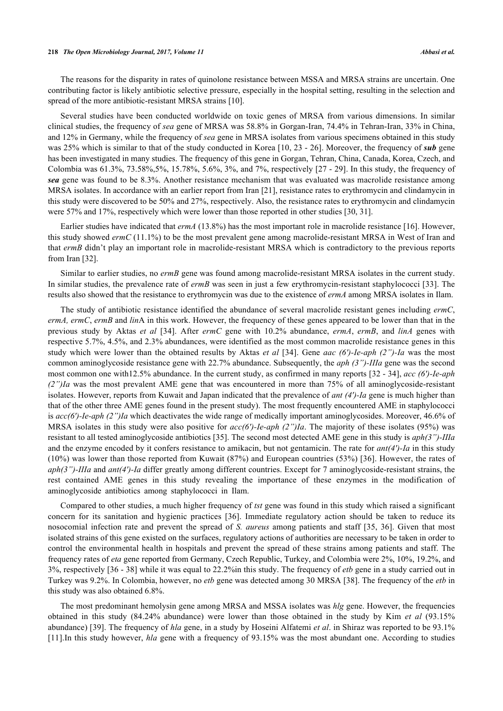The reasons for the disparity in rates of quinolone resistance between MSSA and MRSA strains are uncertain. One contributing factor is likely antibiotic selective pressure, especially in the hospital setting, resulting in the selection and spread of the more antibiotic-resistant MRSA strains [[10\]](#page-10-19).

Several studies have been conducted worldwide on toxic genes of MRSA from various dimensions. In similar clinical studies, the frequency of *sea* gene of MRSA was 58.8% in Gorgan-Iran, 74.4% in Tehran-Iran, 33% in China, and 12% in Germany, while the frequency of *sea* gene in MRSA isolates from various specimens obtained in this study was 25% which is similar to that of the study conducted in Korea [\[10,](#page-10-19) [23](#page-11-1) - [26](#page-11-2)]. Moreover, the frequency of *sub* gene has been investigated in many studies. The frequency of this gene in Gorgan, Tehran, China, Canada, Korea, Czech, and Colombia was 61.3%, 73.58%,5%, 15.78%, 5.6%, 3%, and 7%, respectively [[27](#page-11-3) - [29](#page-11-4)]. In this study, the frequency of *sea* gene was found to be 8.3%. Another resistance mechanism that was evaluated was macrolide resistance among MRSA isolates. In accordance with an earlier report from Iran [[21\]](#page-10-18), resistance rates to erythromycin and clindamycin in this study were discovered to be 50% and 27%, respectively. Also, the resistance rates to erythromycin and clindamycin were 57% and 17%, respectively which were lower than those reported in other studies [[30,](#page-11-5) [31\]](#page-11-6).

Earlier studies have indicated that *ermA* (13.8%) has the most important role in macrolide resistance [[16\]](#page-10-13). However, this study showed *ermC* (11.1%) to be the most prevalent gene among macrolide-resistant MRSA in West of Iran and that *ermB* didn't play an important role in macrolide-resistant MRSA which is contradictory to the previous reports from Iran [[32\]](#page-11-7).

Similar to earlier studies, no *ermB* gene was found among macrolide-resistant MRSA isolates in the current study. In similar studies, the prevalence rate of *ermB* was seen in just a few erythromycin-resistant staphylococci [[33\]](#page-11-8). The results also showed that the resistance to erythromycin was due to the existence of *ermA* among MRSA isolates in Ilam.

The study of antibiotic resistance identified the abundance of several macrolide resistant genes including *ermC*, *ermA, ermC*, *ermB* and *lin*A in this work. However, the frequency of these genes appeared to be lower than that in the previous study by Aktas *et al* [\[34](#page-11-9)]. After *ermC* gene with 10.2% abundance, *ermA*, *ermB*, and *linA* genes with respective 5.7%, 4.5%, and 2.3% abundances, were identified as the most common macrolide resistance genes in this study which were lower than the obtained results by Aktas *et al* [[34\]](#page-11-9). Gene *aac (6')-Ie-aph (2")-Ia* was the most common aminoglycoside resistance gene with 22.7% abundance. Subsequently, the *aph (3")-IIIa* gene was the second most common one with12.5% abundance. In the current study, as confirmed in many reports [\[32](#page-11-7) - [34](#page-11-9)], *acc (6')-Ie-aph (2")Ia* was the most prevalent AME gene that was encountered in more than 75% of all aminoglycoside-resistant isolates. However, reports from Kuwait and Japan indicated that the prevalence of *ant (4')-Ia* gene is much higher than that of the other three AME genes found in the present study). The most frequently encountered AME in staphylococci is *acc(6')-Ie-aph (2")Ia* which deactivates the wide range of medically important aminoglycosides. Moreover, 46.6% of MRSA isolates in this study were also positive for *acc(6')-Ie-aph (2")Ia*. The majority of these isolates (95%) was resistant to all tested aminoglycoside antibiotics [\[35\]](#page-11-10). The second most detected AME gene in this study is *aph(3")-IIIa* and the enzyme encoded by it confers resistance to amikacin, but not gentamicin. The rate for *ant(4')-Ia* in this study (10%) was lower than those reported from Kuwait (87%) and European countries (53%) [[36](#page-11-11)]. However, the rates of *aph(3")-IIIa* and *ant(4')-Ia* differ greatly among different countries. Except for 7 aminoglycoside-resistant strains, the rest contained AME genes in this study revealing the importance of these enzymes in the modification of aminoglycoside antibiotics among staphylococci in Ilam.

Compared to other studies, a much higher frequency of *tst* gene was found in this study which raised a significant concern for its sanitation and hygienic practices[[36](#page-11-11)]. Immediate regulatory action should be taken to reduce its nosocomial infection rate and prevent the spread of *S. aureus* among patients and staff [[35](#page-11-10), [36\]](#page-11-11). Given that most isolated strains of this gene existed on the surfaces, regulatory actions of authorities are necessary to be taken in order to control the environmental health in hospitals and prevent the spread of these strains among patients and staff. The frequency rates of *eta* gene reported from Germany, Czech Republic, Turkey, and Colombia were 2%, 10%, 19.2%, and 3%, respectively [\[36](#page-11-11) - [38](#page-11-12)] while it was equal to 22.2%in this study. The frequency of *etb* gene in a study carried out in Turkey was 9.2%. In Colombia, however, no *etb* gene was detected among 30 MRSA [[38\]](#page-11-12). The frequency of the *etb* in this study was also obtained 6.8%.

The most predominant hemolysin gene among MRSA and MSSA isolates was *hlg* gene. However, the frequencies obtained in this study (84.24% abundance) were lower than those obtained in the study by Kim *et al* (93.15% abundance) [[39\]](#page-11-13). The frequency of *hla* gene, in a study by Hoseini Alfatemi *et al*. in Shiraz was reported to be 93.1% [\[11](#page-10-8)].In this study however, *hla* gene with a frequency of 93.15% was the most abundant one. According to studies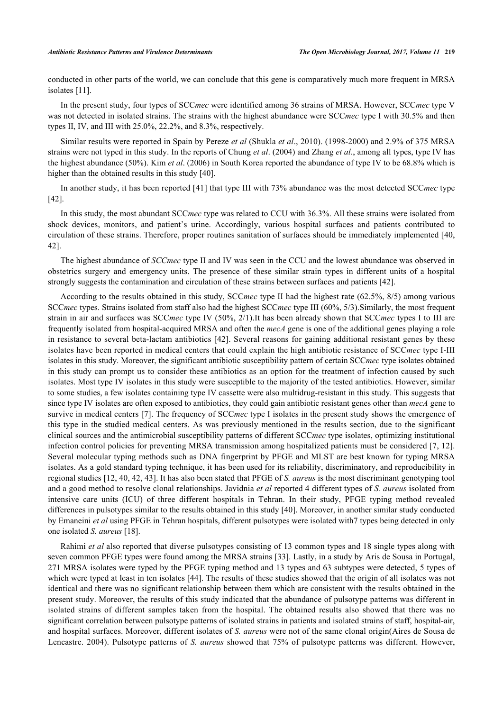conducted in other parts of the world, we can conclude that this gene is comparatively much more frequent in MRSA isolates [[11\]](#page-10-8).

In the present study, four types of SCC*mec* were identified among 36 strains of MRSA. However, SCC*mec* type V was not detected in isolated strains. The strains with the highest abundance were SCC*mec* type I with 30.5% and then types II, IV, and III with 25.0%, 22.2%, and 8.3%, respectively.

Similar results were reported in Spain by Pereze *et al* (Shukla *et al*., 2010). (1998-2000) and 2.9% of 375 MRSA strains were not typed in this study. In the reports of Chung *et al*. (2004) and Zhang *et al*., among all types, type IV has the highest abundance (50%). Kim *et al*. (2006) in South Korea reported the abundance of type IV to be 68.8% which is higher than the obtained results in this study [\[40](#page-11-14)].

In another study, it has been reported [[41\]](#page-11-15) that type III with 73% abundance was the most detected SCC*mec* type [\[42](#page-12-0)].

In this study, the most abundant SCC*mec* type was related to CCU with 36.3%. All these strains were isolated from shock devices, monitors, and patient's urine. Accordingly, various hospital surfaces and patients contributed to circulation of these strains. Therefore, proper routines sanitation of surfaces should be immediately implemented [[40](#page-11-14), [42\]](#page-12-0).

The highest abundance of *SCCmec* type II and IV was seen in the CCU and the lowest abundance was observed in obstetrics surgery and emergency units. The presence of these similar strain types in different units of a hospital strongly suggests the contamination and circulation of these strains between surfaces and patients [\[42](#page-12-0)].

According to the results obtained in this study, SCC*mec* type II had the highest rate (62.5%, 8/5) among various SCC*mec* types. Strains isolated from staff also had the highest SCC*mec* type III (60%, 5/3).Similarly, the most frequent strain in air and surfaces was SCC*mec* type IV (50%, 2/1).It has been already shown that SCC*mec* types I to III are frequently isolated from hospital-acquired MRSA and often the *mecA* gene is one of the additional genes playing a role in resistance to several beta-lactam antibiotics [[42](#page-12-0)]. Several reasons for gaining additional resistant genes by these isolates have been reported in medical centers that could explain the high antibiotic resistance of SCC*mec* type I-III isolates in this study. Moreover, the significant antibiotic susceptibility pattern of certain SCC*mec* type isolates obtained in this study can prompt us to consider these antibiotics as an option for the treatment of infection caused by such isolates. Most type IV isolates in this study were susceptible to the majority of the tested antibiotics. However, similar to some studies, a few isolates containing type IV cassette were also multidrug-resistant in this study. This suggests that since type IV isolates are often exposed to antibiotics, they could gain antibiotic resistant genes other than *mecA* gene to survive in medical centers [[7\]](#page-10-5). The frequency of SCC*mec* type I isolates in the present study shows the emergence of this type in the studied medical centers. As was previously mentioned in the results section, due to the significant clinical sources and the antimicrobial susceptibility patterns of different SCC*mec* type isolates, optimizing institutional infection control policies for preventing MRSA transmission among hospitalized patients must be considered [[7](#page-10-5), [12\]](#page-10-9). Several molecular typing methods such as DNA fingerprint by PFGE and MLST are best known for typing MRSA isolates. As a gold standard typing technique, it has been used for its reliability, discriminatory, and reproducibility in regional studies [[12](#page-10-9), [40](#page-11-14), [42](#page-12-0), [43](#page-12-1)]. It has also been stated that PFGE of *S. aureus* is the most discriminant genotyping tool and a good method to resolve clonal relationships. Javidnia *et al* reported 4 different types of *S. aureus* isolated from intensive care units (ICU) of three different hospitals in Tehran. In their study, PFGE typing method revealed differences in pulsotypes similar to the results obtained in this study [\[40](#page-11-14)]. Moreover, in another similar study conducted by Emaneini *et al* using PFGE in Tehran hospitals, different pulsotypes were isolated with7 types being detected in only one isolated *S. aureus* [\[18](#page-10-15)].

Rahimi *et al* also reported that diverse pulsotypes consisting of 13 common types and 18 single types along with seven common PFGE types were found among the MRSA strains [\[33\]](#page-11-8). Lastly, in a study by Aris de Sousa in Portugal, 271 MRSA isolates were typed by the PFGE typing method and 13 types and 63 subtypes were detected, 5 types of which were typed at least in ten isolates [[44](#page-12-2)]. The results of these studies showed that the origin of all isolates was not identical and there was no significant relationship between them which are consistent with the results obtained in the present study. Moreover, the results of this study indicated that the abundance of pulsotype patterns was different in isolated strains of different samples taken from the hospital. The obtained results also showed that there was no significant correlation between pulsotype patterns of isolated strains in patients and isolated strains of staff, hospital-air, and hospital surfaces. Moreover, different isolates of *S. aureus* were not of the same clonal origin(Aires de Sousa de Lencastre. 2004). Pulsotype patterns of *S. aureus* showed that 75% of pulsotype patterns was different. However,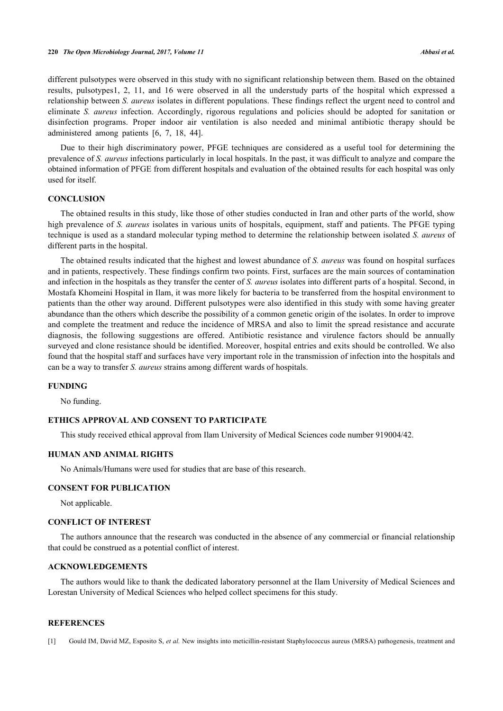different pulsotypes were observed in this study with no significant relationship between them. Based on the obtained results, pulsotypes1, 2, 11, and 16 were observed in all the understudy parts of the hospital which expressed a relationship between *S. aureus* isolates in different populations. These findings reflect the urgent need to control and eliminate *S. aureus* infection. Accordingly, rigorous regulations and policies should be adopted for sanitation or disinfection programs. Proper indoor air ventilation is also needed and minimal antibiotic therapy should be administered among patients[[6,](#page-10-4) [7,](#page-10-5) [18,](#page-10-15) [44\]](#page-12-2).

Due to their high discriminatory power, PFGE techniques are considered as a useful tool for determining the prevalence of *S. aureus* infections particularly in local hospitals. In the past, it was difficult to analyze and compare the obtained information of PFGE from different hospitals and evaluation of the obtained results for each hospital was only used for itself.

## **CONCLUSION**

The obtained results in this study, like those of other studies conducted in Iran and other parts of the world, show high prevalence of *S. aureus* isolates in various units of hospitals, equipment, staff and patients. The PFGE typing technique is used as a standard molecular typing method to determine the relationship between isolated *S. aureus* of different parts in the hospital.

The obtained results indicated that the highest and lowest abundance of *S. aureus* was found on hospital surfaces and in patients, respectively. These findings confirm two points. First, surfaces are the main sources of contamination and infection in the hospitals as they transfer the center of *S. aureus* isolates into different parts of a hospital. Second, in Mostafa Khomeini Hospital in Ilam, it was more likely for bacteria to be transferred from the hospital environment to patients than the other way around. Different pulsotypes were also identified in this study with some having greater abundance than the others which describe the possibility of a common genetic origin of the isolates. In order to improve and complete the treatment and reduce the incidence of MRSA and also to limit the spread resistance and accurate diagnosis, the following suggestions are offered. Antibiotic resistance and virulence factors should be annually surveyed and clone resistance should be identified. Moreover, hospital entries and exits should be controlled. We also found that the hospital staff and surfaces have very important role in the transmission of infection into the hospitals and can be a way to transfer *S. aureus* strains among different wards of hospitals.

#### **FUNDING**

No funding.

## **ETHICS APPROVAL AND CONSENT TO PARTICIPATE**

This study received ethical approval from Ilam University of Medical Sciences code number 919004/42.

#### **HUMAN AND ANIMAL RIGHTS**

No Animals/Humans were used for studies that are base of this research.

#### **CONSENT FOR PUBLICATION**

Not applicable.

## **CONFLICT OF INTEREST**

The authors announce that the research was conducted in the absence of any commercial or financial relationship that could be construed as a potential conflict of interest.

## **ACKNOWLEDGEMENTS**

The authors would like to thank the dedicated laboratory personnel at the Ilam University of Medical Sciences and Lorestan University of Medical Sciences who helped collect specimens for this study.

#### **REFERENCES**

<span id="page-9-0"></span>[1] Gould IM, David MZ, Esposito S, *et al.* New insights into meticillin-resistant Staphylococcus aureus (MRSA) pathogenesis, treatment and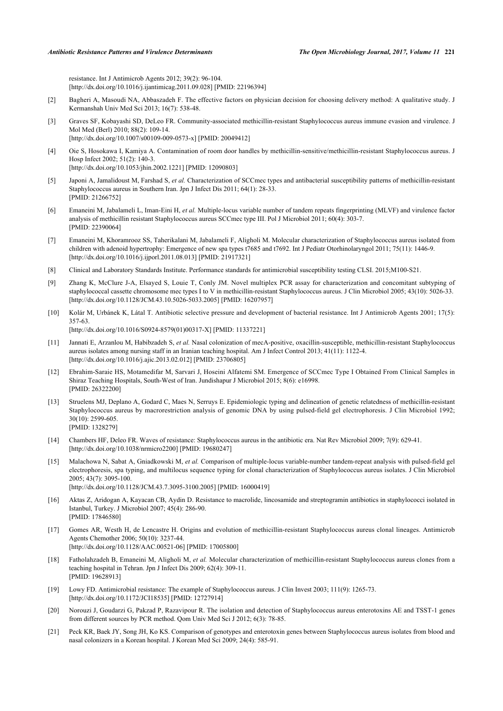resistance. Int J Antimicrob Agents 2012; 39(2): 96-104. [\[http://dx.doi.org/10.1016/j.ijantimicag.2011.09.028](http://dx.doi.org/10.1016/j.ijantimicag.2011.09.028)] [PMID: [22196394\]](http://www.ncbi.nlm.nih.gov/pubmed/22196394)

- <span id="page-10-1"></span>[2] Bagheri A, Masoudi NA, Abbaszadeh F. The effective factors on physician decision for choosing delivery method: A qualitative study. J Kermanshah Univ Med Sci 2013; 16(7): 538-48.
- <span id="page-10-0"></span>[3] Graves SF, Kobayashi SD, DeLeo FR. Community-associated methicillin-resistant Staphylococcus aureus immune evasion and virulence. J Mol Med (Berl) 2010; 88(2): 109-14. [\[http://dx.doi.org/10.1007/s00109-009-0573-x\]](http://dx.doi.org/10.1007/s00109-009-0573-x) [PMID: [20049412](http://www.ncbi.nlm.nih.gov/pubmed/20049412)]
- <span id="page-10-2"></span>[4] Oie S, Hosokawa I, Kamiya A. Contamination of room door handles by methicillin-sensitive/methicillin-resistant Staphylococcus aureus. J Hosp Infect 2002; 51(2): 140-3. [\[http://dx.doi.org/10.1053/jhin.2002.1221](http://dx.doi.org/10.1053/jhin.2002.1221)] [PMID: [12090803\]](http://www.ncbi.nlm.nih.gov/pubmed/12090803)
- <span id="page-10-3"></span>[5] Japoni A, Jamalidoust M, Farshad S, *et al.* Characterization of SCCmec types and antibacterial susceptibility patterns of methicillin-resistant Staphylococcus aureus in Southern Iran. Jpn J Infect Dis 2011; 64(1): 28-33. [PMID: [21266752\]](http://www.ncbi.nlm.nih.gov/pubmed/21266752)
- <span id="page-10-4"></span>[6] Emaneini M, Jabalameli L, Iman-Eini H, *et al.* Multiple-locus variable number of tandem repeats fingerprinting (MLVF) and virulence factor analysis of methicillin resistant Staphylococcus aureus SCCmec type III. Pol J Microbiol 2011; 60(4): 303-7. [PMID: [22390064\]](http://www.ncbi.nlm.nih.gov/pubmed/22390064)
- <span id="page-10-5"></span>[7] Emaneini M, Khoramrooz SS, Taherikalani M, Jabalameli F, Aligholi M. Molecular characterization of Staphylococcus aureus isolated from children with adenoid hypertrophy: Emergence of new spa types t7685 and t7692. Int J Pediatr Otorhinolaryngol 2011; 75(11): 1446-9. [\[http://dx.doi.org/10.1016/j.ijporl.2011.08.013](http://dx.doi.org/10.1016/j.ijporl.2011.08.013)] [PMID: [21917321\]](http://www.ncbi.nlm.nih.gov/pubmed/21917321)
- <span id="page-10-6"></span>[8] Clinical and Laboratory Standards Institute. Performance standards for antimicrobial susceptibility testing CLSI. 2015;M100-S21.
- <span id="page-10-7"></span>[9] Zhang K, McClure J-A, Elsayed S, Louie T, Conly JM. Novel multiplex PCR assay for characterization and concomitant subtyping of staphylococcal cassette chromosome mec types I to V in methicillin-resistant Staphylococcus aureus. J Clin Microbiol 2005; 43(10): 5026-33. [\[http://dx.doi.org/10.1128/JCM.43.10.5026-5033.2005](http://dx.doi.org/10.1128/JCM.43.10.5026-5033.2005)] [PMID: [16207957\]](http://www.ncbi.nlm.nih.gov/pubmed/16207957)
- <span id="page-10-19"></span>[10] Kolár M, Urbánek K, Látal T. Antibiotic selective pressure and development of bacterial resistance. Int J Antimicrob Agents 2001; 17(5): 357-63.

[\[http://dx.doi.org/10.1016/S0924-8579\(01\)00317-X\]](http://dx.doi.org/10.1016/S0924-8579(01)00317-X) [PMID: [11337221](http://www.ncbi.nlm.nih.gov/pubmed/11337221)]

- <span id="page-10-8"></span>[11] Jannati E, Arzanlou M, Habibzadeh S, *et al.* Nasal colonization of mecA-positive, oxacillin-susceptible, methicillin-resistant Staphylococcus aureus isolates among nursing staff in an Iranian teaching hospital. Am J Infect Control 2013; 41(11): 1122-4. [\[http://dx.doi.org/10.1016/j.ajic.2013.02.012\]](http://dx.doi.org/10.1016/j.ajic.2013.02.012) [PMID: [23706805](http://www.ncbi.nlm.nih.gov/pubmed/23706805)]
- <span id="page-10-9"></span>[12] Ebrahim-Saraie HS, Motamedifar M, Sarvari J, Hoseini Alfatemi SM. Emergence of SCCmec Type I Obtained From Clinical Samples in Shiraz Teaching Hospitals, South-West of Iran. Jundishapur J Microbiol 2015; 8(6): e16998. [PMID: [26322200\]](http://www.ncbi.nlm.nih.gov/pubmed/26322200)
- <span id="page-10-10"></span>[13] Struelens MJ, Deplano A, Godard C, Maes N, Serruys E. Epidemiologic typing and delineation of genetic relatedness of methicillin-resistant Staphylococcus aureus by macrorestriction analysis of genomic DNA by using pulsed-field gel electrophoresis. J Clin Microbiol 1992; 30(10): 2599-605. [PMID: [1328279\]](http://www.ncbi.nlm.nih.gov/pubmed/1328279)
- <span id="page-10-11"></span>[14] Chambers HF, Deleo FR. Waves of resistance: Staphylococcus aureus in the antibiotic era. Nat Rev Microbiol 2009; 7(9): 629-41. [\[http://dx.doi.org/10.1038/nrmicro2200](http://dx.doi.org/10.1038/nrmicro2200)] [PMID: [19680247\]](http://www.ncbi.nlm.nih.gov/pubmed/19680247)
- <span id="page-10-12"></span>[15] Malachowa N, Sabat A, Gniadkowski M, *et al.* Comparison of multiple-locus variable-number tandem-repeat analysis with pulsed-field gel electrophoresis, spa typing, and multilocus sequence typing for clonal characterization of Staphylococcus aureus isolates. J Clin Microbiol 2005; 43(7): 3095-100. [\[http://dx.doi.org/10.1128/JCM.43.7.3095-3100.2005](http://dx.doi.org/10.1128/JCM.43.7.3095-3100.2005)] [PMID: [16000419\]](http://www.ncbi.nlm.nih.gov/pubmed/16000419)
- <span id="page-10-13"></span>[16] Aktas Z, Aridogan A, Kayacan CB, Aydin D. Resistance to macrolide, lincosamide and streptogramin antibiotics in staphylococci isolated in Istanbul, Turkey. J Microbiol 2007; 45(4): 286-90. [PMID: [17846580\]](http://www.ncbi.nlm.nih.gov/pubmed/17846580)
- <span id="page-10-14"></span>[17] Gomes AR, Westh H, de Lencastre H. Origins and evolution of methicillin-resistant Staphylococcus aureus clonal lineages. Antimicrob Agents Chemother 2006; 50(10): 3237-44. [\[http://dx.doi.org/10.1128/AAC.00521-06](http://dx.doi.org/10.1128/AAC.00521-06)] [PMID: [17005800\]](http://www.ncbi.nlm.nih.gov/pubmed/17005800)
- <span id="page-10-15"></span>[18] Fatholahzadeh B, Emaneini M, Aligholi M, *et al.* Molecular characterization of methicillin-resistant Staphylococcus aureus clones from a teaching hospital in Tehran. Jpn J Infect Dis 2009; 62(4): 309-11. [PMID: [19628913\]](http://www.ncbi.nlm.nih.gov/pubmed/19628913)
- <span id="page-10-16"></span>[19] Lowy FD. Antimicrobial resistance: The example of Staphylococcus aureus. J Clin Invest 2003; 111(9): 1265-73. [\[http://dx.doi.org/10.1172/JCI18535\]](http://dx.doi.org/10.1172/JCI18535) [PMID: [12727914](http://www.ncbi.nlm.nih.gov/pubmed/12727914)]
- <span id="page-10-17"></span>[20] Norouzi J, Goudarzi G, Pakzad P, Razavipour R. The isolation and detection of Staphylococcus aureus enterotoxins AE and TSST-1 genes from different sources by PCR method. Qom Univ Med Sci J 2012; 6(3): 78-85.
- <span id="page-10-18"></span>[21] Peck KR, Baek JY, Song JH, Ko KS. Comparison of genotypes and enterotoxin genes between Staphylococcus aureus isolates from blood and nasal colonizers in a Korean hospital. J Korean Med Sci 2009; 24(4): 585-91.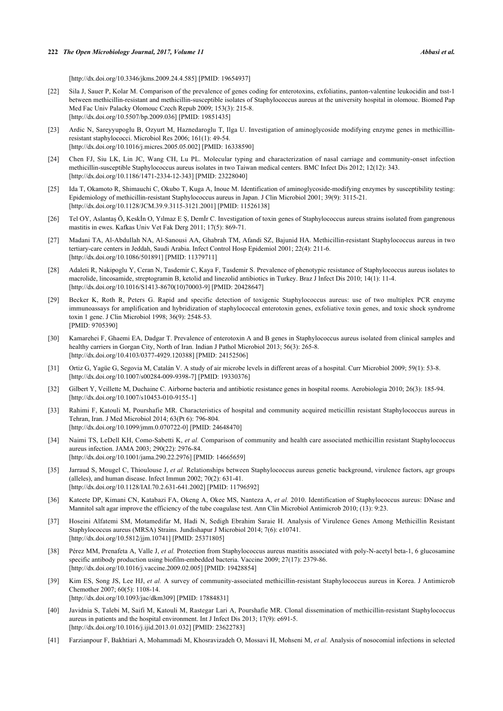[\[http://dx.doi.org/10.3346/jkms.2009.24.4.585](http://dx.doi.org/10.3346/jkms.2009.24.4.585)] [PMID: [19654937\]](http://www.ncbi.nlm.nih.gov/pubmed/19654937)

- <span id="page-11-0"></span>[22] Sila J, Sauer P, Kolar M. Comparison of the prevalence of genes coding for enterotoxins, exfoliatins, panton-valentine leukocidin and tsst-1 between methicillin-resistant and methicillin-susceptible isolates of Staphylococcus aureus at the university hospital in olomouc. Biomed Pap Med Fac Univ Palacky Olomouc Czech Repub 2009; 153(3): 215-8. [\[http://dx.doi.org/10.5507/bp.2009.036\]](http://dx.doi.org/10.5507/bp.2009.036) [PMID: [19851435](http://www.ncbi.nlm.nih.gov/pubmed/19851435)]
- <span id="page-11-1"></span>[23] Ardic N, Sareyyupoglu B, Ozyurt M, Haznedaroglu T, Ilga U. Investigation of aminoglycoside modifying enzyme genes in methicillinresistant staphylococci. Microbiol Res 2006; 161(1): 49-54. [\[http://dx.doi.org/10.1016/j.micres.2005.05.002](http://dx.doi.org/10.1016/j.micres.2005.05.002)] [PMID: [16338590\]](http://www.ncbi.nlm.nih.gov/pubmed/16338590)
- [24] Chen FJ, Siu LK, Lin JC, Wang CH, Lu PL. Molecular typing and characterization of nasal carriage and community-onset infection methicillin-susceptible Staphylococcus aureus isolates in two Taiwan medical centers. BMC Infect Dis 2012; 12(12): 343. [\[http://dx.doi.org/10.1186/1471-2334-12-343\]](http://dx.doi.org/10.1186/1471-2334-12-343) [PMID: [23228040](http://www.ncbi.nlm.nih.gov/pubmed/23228040)]
- [25] Ida T, Okamoto R, Shimauchi C, Okubo T, Kuga A, Inoue M. Identification of aminoglycoside-modifying enzymes by susceptibility testing: Epidemiology of methicillin-resistant Staphylococcus aureus in Japan. J Clin Microbiol 2001; 39(9): 3115-21. [\[http://dx.doi.org/10.1128/JCM.39.9.3115-3121.2001](http://dx.doi.org/10.1128/JCM.39.9.3115-3121.2001)] [PMID: [11526138\]](http://www.ncbi.nlm.nih.gov/pubmed/11526138)
- <span id="page-11-2"></span>[26] Tel OY, Aslantaș Ö, Keskİn O, Yılmaz E Ș, Demİr C. Investigation of toxin genes of Staphylococcus aureus strains isolated from gangrenous mastitis in ewes. Kafkas Univ Vet Fak Derg 2011; 17(5): 869-71.
- <span id="page-11-3"></span>[27] Madani TA, Al-Abdullah NA, Al-Sanousi AA, Ghabrah TM, Afandi SZ, Bajunid HA. Methicillin-resistant Staphylococcus aureus in two tertiary-care centers in Jeddah, Saudi Arabia. Infect Control Hosp Epidemiol 2001; 22(4): 211-6. [\[http://dx.doi.org/10.1086/501891\]](http://dx.doi.org/10.1086/501891) [PMID: [11379711](http://www.ncbi.nlm.nih.gov/pubmed/11379711)]
- [28] Adaleti R, Nakipoglu Y, Ceran N, Tasdemir C, Kaya F, Tasdemir S. Prevalence of phenotypic resistance of Staphylococcus aureus isolates to macrolide, lincosamide, streptogramin B, ketolid and linezolid antibiotics in Turkey. Braz J Infect Dis 2010; 14(1): 11-4. [\[http://dx.doi.org/10.1016/S1413-8670\(10\)70003-9\]](http://dx.doi.org/10.1016/S1413-8670(10)70003-9) [PMID: [20428647](http://www.ncbi.nlm.nih.gov/pubmed/20428647)]
- <span id="page-11-4"></span>[29] Becker K, Roth R, Peters G. Rapid and specific detection of toxigenic Staphylococcus aureus: use of two multiplex PCR enzyme immunoassays for amplification and hybridization of staphylococcal enterotoxin genes, exfoliative toxin genes, and toxic shock syndrome toxin 1 gene. J Clin Microbiol 1998; 36(9): 2548-53. [PMID: [9705390\]](http://www.ncbi.nlm.nih.gov/pubmed/9705390)
- <span id="page-11-5"></span>[30] Kamarehei F, Ghaemi EA, Dadgar T. Prevalence of enterotoxin A and B genes in Staphylococcus aureus isolated from clinical samples and healthy carriers in Gorgan City, North of Iran. Indian J Pathol Microbiol 2013; 56(3): 265-8. [\[http://dx.doi.org/10.4103/0377-4929.120388](http://dx.doi.org/10.4103/0377-4929.120388)] [PMID: [24152506](http://www.ncbi.nlm.nih.gov/pubmed/24152506)]
- <span id="page-11-6"></span>[31] Ortiz G, Yagüe G, Segovia M, Catalán V. A study of air microbe levels in different areas of a hospital. Curr Microbiol 2009; 59(1): 53-8. [\[http://dx.doi.org/10.1007/s00284-009-9398-7\]](http://dx.doi.org/10.1007/s00284-009-9398-7) [PMID: [19330376](http://www.ncbi.nlm.nih.gov/pubmed/19330376)]
- <span id="page-11-7"></span>[32] Gilbert Y, Veillette M, Duchaine C. Airborne bacteria and antibiotic resistance genes in hospital rooms. Aerobiologia 2010; 26(3): 185-94. [\[http://dx.doi.org/10.1007/s10453-010-9155-1\]](http://dx.doi.org/10.1007/s10453-010-9155-1)
- <span id="page-11-8"></span>[33] Rahimi F, Katouli M, Pourshafie MR. Characteristics of hospital and community acquired meticillin resistant Staphylococcus aureus in Tehran, Iran. J Med Microbiol 2014; 63(Pt 6): 796-804. [\[http://dx.doi.org/10.1099/jmm.0.070722-0](http://dx.doi.org/10.1099/jmm.0.070722-0)] [PMID: [24648470\]](http://www.ncbi.nlm.nih.gov/pubmed/24648470)
- <span id="page-11-9"></span>[34] Naimi TS, LeDell KH, Como-Sabetti K, *et al.* Comparison of community and health care associated methicillin resistant Staphylococcus aureus infection. JAMA 2003; 290(22): 2976-84. [\[http://dx.doi.org/10.1001/jama.290.22.2976](http://dx.doi.org/10.1001/jama.290.22.2976)] [PMID: [14665659\]](http://www.ncbi.nlm.nih.gov/pubmed/14665659)
- <span id="page-11-10"></span>[35] Jarraud S, Mougel C, Thioulouse J, *et al.* Relationships between Staphylococcus aureus genetic background, virulence factors, agr groups (alleles), and human disease. Infect Immun 2002; 70(2): 631-41. [\[http://dx.doi.org/10.1128/IAI.70.2.631-641.2002\]](http://dx.doi.org/10.1128/IAI.70.2.631-641.2002) [PMID: [11796592](http://www.ncbi.nlm.nih.gov/pubmed/11796592)]
- <span id="page-11-11"></span>[36] Kateete DP, Kimani CN, Katabazi FA, Okeng A, Okee MS, Nanteza A, *et al.* 2010. Identification of Staphylococcus aureus: DNase and Mannitol salt agar improve the efficiency of the tube coagulase test. Ann Clin Microbiol Antimicrob 2010; (13): 9:23.
- [37] Hoseini Alfatemi SM, Motamedifar M, Hadi N, Sedigh Ebrahim Saraie H. Analysis of Virulence Genes Among Methicillin Resistant Staphylococcus aureus (MRSA) Strains. Jundishapur J Microbiol 2014; 7(6): e10741. [\[http://dx.doi.org/10.5812/jjm.10741](http://dx.doi.org/10.5812/jjm.10741)] [PMID: [25371805](http://www.ncbi.nlm.nih.gov/pubmed/25371805)]
- <span id="page-11-12"></span>[38] Pérez MM, Prenafeta A, Valle J, et al. Protection from Staphylococcus aureus mastitis associated with poly-N-acetyl beta-1, 6 glucosamine specific antibody production using biofilm-embedded bacteria. Vaccine 2009; 27(17): 2379-86. [\[http://dx.doi.org/10.1016/j.vaccine.2009.02.005](http://dx.doi.org/10.1016/j.vaccine.2009.02.005)] [PMID: [19428854](http://www.ncbi.nlm.nih.gov/pubmed/19428854)]
- <span id="page-11-13"></span>[39] Kim ES, Song JS, Lee HJ, *et al.* A survey of community-associated methicillin-resistant Staphylococcus aureus in Korea. J Antimicrob Chemother 2007; 60(5): 1108-14. [\[http://dx.doi.org/10.1093/jac/dkm309\]](http://dx.doi.org/10.1093/jac/dkm309) [PMID: [17884831](http://www.ncbi.nlm.nih.gov/pubmed/17884831)]
- <span id="page-11-14"></span>[40] Javidnia S, Talebi M, Saifi M, Katouli M, Rastegar Lari A, Pourshafie MR. Clonal dissemination of methicillin-resistant Staphylococcus aureus in patients and the hospital environment. Int J Infect Dis 2013; 17(9): e691-5. [\[http://dx.doi.org/10.1016/j.ijid.2013.01.032\]](http://dx.doi.org/10.1016/j.ijid.2013.01.032) [PMID: [23622783](http://www.ncbi.nlm.nih.gov/pubmed/23622783)]
- <span id="page-11-15"></span>[41] Farzianpour F, Bakhtiari A, Mohammadi M, Khosravizadeh O, Mossavi H, Mohseni M, *et al.* Analysis of nosocomial infections in selected